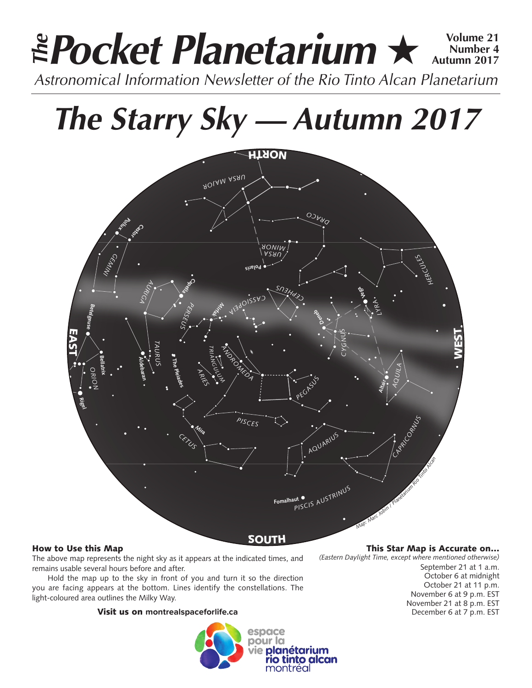# **Pocket Planetarium ★**  $\frac{Volume 21}{Number 4}$ **Number 4 Autumn 2017** *Astronomical Information Newsletter of the Rio Tinto Alcan Planetarium The*

# *The Starry Sky — Autumn 2017*



# How to Use this Map

The above map represents the night sky as it appears at the indicated times, and remains usable several hours before and after.

Hold the map up to the sky in front of you and turn it so the direction you are facing appears at the bottom. Lines identify the constellations. The light-coloured area outlines the Milky Way.

# Visit us on **montrealspaceforlife.ca**



# This Star Map is Accurate on…

*(Eastern Daylight Time, except where mentioned otherwise)* September 21 at 1 a.m. October 6 at midnight October 21 at 11 p.m. November 6 at 9 p.m. EST November 21 at 8 p.m. EST December 6 at 7 p.m. EST